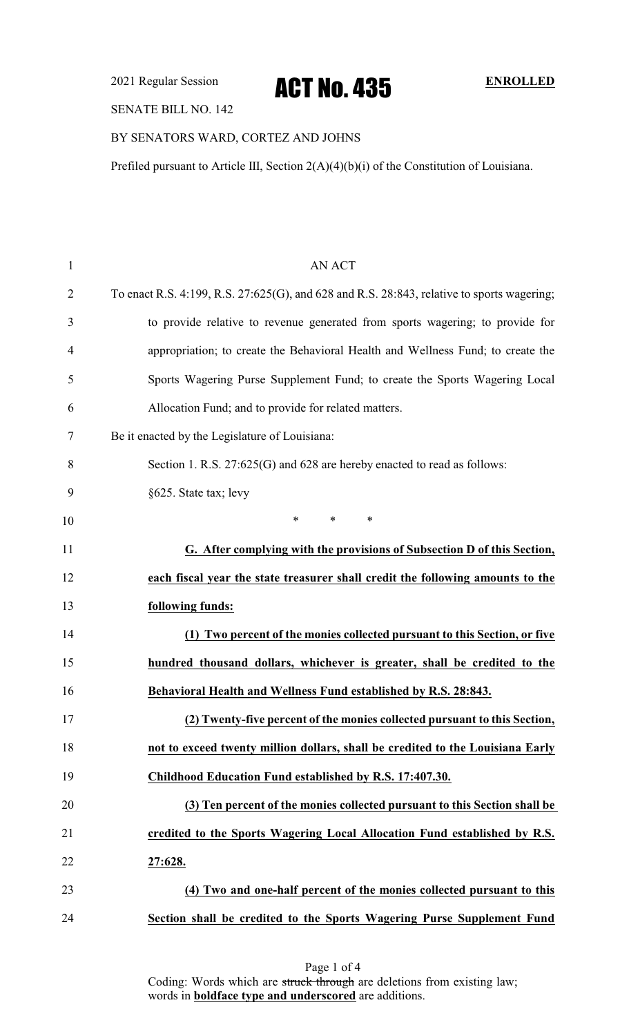2021 Regular Session **ACT NO. 435** ENROLLED

### SENATE BILL NO. 142

## BY SENATORS WARD, CORTEZ AND JOHNS

Prefiled pursuant to Article III, Section 2(A)(4)(b)(i) of the Constitution of Louisiana.

| $\mathbf{1}$ | <b>AN ACT</b>                                                                              |
|--------------|--------------------------------------------------------------------------------------------|
| 2            | To enact R.S. 4:199, R.S. 27:625(G), and 628 and R.S. 28:843, relative to sports wagering; |
| 3            | to provide relative to revenue generated from sports wagering; to provide for              |
| 4            | appropriation; to create the Behavioral Health and Wellness Fund; to create the            |
| 5            | Sports Wagering Purse Supplement Fund; to create the Sports Wagering Local                 |
| 6            | Allocation Fund; and to provide for related matters.                                       |
| 7            | Be it enacted by the Legislature of Louisiana:                                             |
| 8            | Section 1. R.S. 27:625(G) and 628 are hereby enacted to read as follows:                   |
| 9            | §625. State tax; levy                                                                      |
| 10           | *<br>$\ast$<br>∗                                                                           |
| 11           | G. After complying with the provisions of Subsection D of this Section,                    |
| 12           | each fiscal year the state treasurer shall credit the following amounts to the             |
| 13           | following funds:                                                                           |
| 14           | (1) Two percent of the monies collected pursuant to this Section, or five                  |
| 15           | hundred thousand dollars, whichever is greater, shall be credited to the                   |
| 16           | Behavioral Health and Wellness Fund established by R.S. 28:843.                            |
| 17           | (2) Twenty-five percent of the monies collected pursuant to this Section,                  |
| 18           | not to exceed twenty million dollars, shall be credited to the Louisiana Early             |
| 19           | Childhood Education Fund established by R.S. 17:407.30.                                    |
| 20           | (3) Ten percent of the monies collected pursuant to this Section shall be                  |
| 21           | credited to the Sports Wagering Local Allocation Fund established by R.S.                  |
| 22           | 27:628.                                                                                    |
| 23           | (4) Two and one-half percent of the monies collected pursuant to this                      |
| 24           | Section shall be credited to the Sports Wagering Purse Supplement Fund                     |

Page 1 of 4 Coding: Words which are struck through are deletions from existing law; words in **boldface type and underscored** are additions.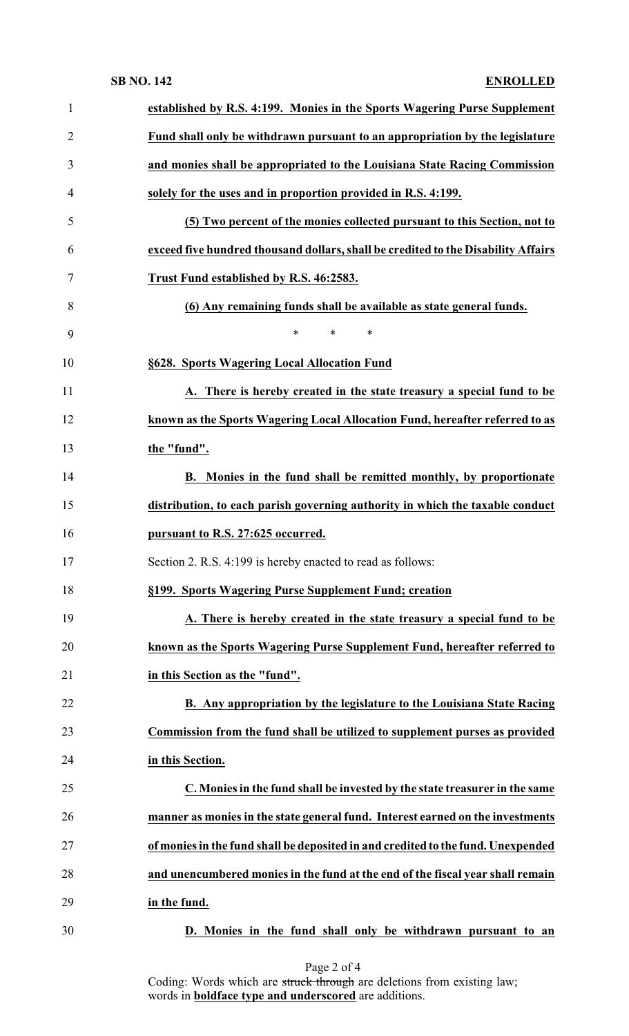### **SB NO. 142 ENROLLED**

| $\mathbf{1}$   | established by R.S. 4:199. Monies in the Sports Wagering Purse Supplement         |
|----------------|-----------------------------------------------------------------------------------|
| $\overline{2}$ | Fund shall only be withdrawn pursuant to an appropriation by the legislature      |
| 3              | and monies shall be appropriated to the Louisiana State Racing Commission         |
| 4              | solely for the uses and in proportion provided in R.S. 4:199.                     |
| 5              | (5) Two percent of the monies collected pursuant to this Section, not to          |
| 6              | exceed five hundred thousand dollars, shall be credited to the Disability Affairs |
| 7              | Trust Fund established by R.S. 46:2583.                                           |
| 8              | (6) Any remaining funds shall be available as state general funds.                |
| 9              | $\ast$<br>$\ast$<br>$\ast$                                                        |
| 10             | §628. Sports Wagering Local Allocation Fund                                       |
| 11             | A. There is hereby created in the state treasury a special fund to be             |
| 12             | known as the Sports Wagering Local Allocation Fund, hereafter referred to as      |
| 13             | the "fund".                                                                       |
| 14             | B. Monies in the fund shall be remitted monthly, by proportionate                 |
| 15             | distribution, to each parish governing authority in which the taxable conduct     |
| 16             | pursuant to R.S. 27:625 occurred.                                                 |
| 17             | Section 2. R.S. 4:199 is hereby enacted to read as follows:                       |
| 18             | §199. Sports Wagering Purse Supplement Fund; creation                             |
| 19             | A. There is hereby created in the state treasury a special fund to be             |
| 20             | known as the Sports Wagering Purse Supplement Fund, hereafter referred to         |
| 21             | in this Section as the "fund".                                                    |
| 22             | B. Any appropriation by the legislature to the Louisiana State Racing             |
| 23             | Commission from the fund shall be utilized to supplement purses as provided       |
| 24             | in this Section.                                                                  |
| 25             | C. Monies in the fund shall be invested by the state treasurer in the same        |
| 26             | manner as monies in the state general fund. Interest earned on the investments    |
| 27             | of monies in the fund shall be deposited in and credited to the fund. Unexpended  |
| 28             | and unencumbered monies in the fund at the end of the fiscal year shall remain    |
| 29             | in the fund.                                                                      |
| 30             | D. Monies in the fund shall only be withdrawn pursuant to an                      |

Coding: Words which are struck through are deletions from existing law; words in **boldface type and underscored** are additions.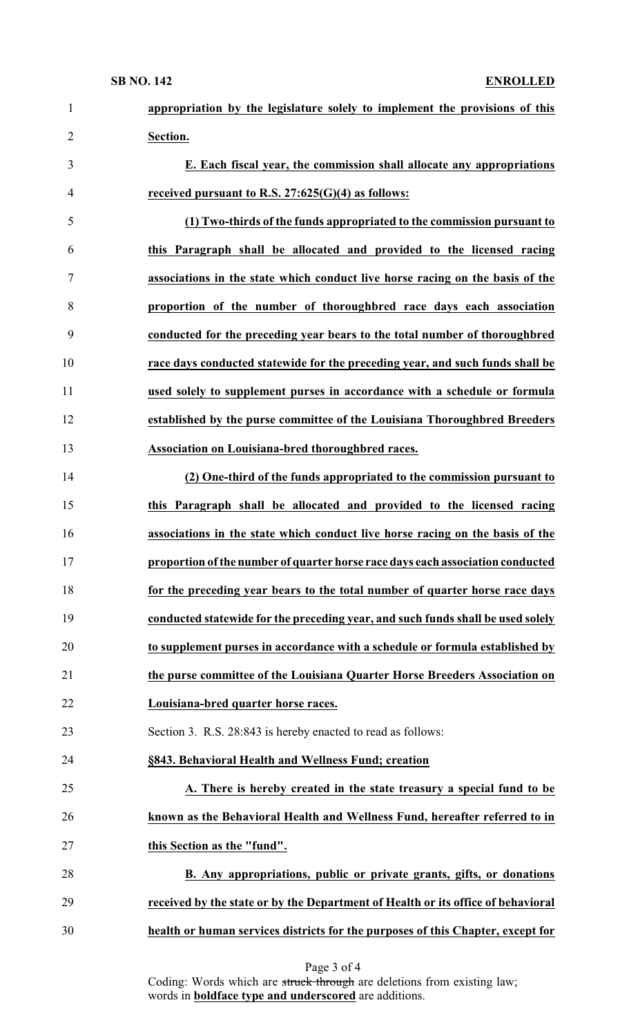| $\mathbf{1}$   | appropriation by the legislature solely to implement the provisions of this      |
|----------------|----------------------------------------------------------------------------------|
| $\overline{2}$ | Section.                                                                         |
| 3              | E. Each fiscal year, the commission shall allocate any appropriations            |
| $\overline{4}$ | received pursuant to R.S. $27:625(G)(4)$ as follows:                             |
| 5              | (1) Two-thirds of the funds appropriated to the commission pursuant to           |
| 6              | this Paragraph shall be allocated and provided to the licensed racing            |
| 7              | associations in the state which conduct live horse racing on the basis of the    |
| 8              | proportion of the number of thoroughbred race days each association              |
| 9              | conducted for the preceding year bears to the total number of thoroughbred       |
| 10             | race days conducted statewide for the preceding year, and such funds shall be    |
| 11             | used solely to supplement purses in accordance with a schedule or formula        |
| 12             | established by the purse committee of the Louisiana Thoroughbred Breeders        |
| 13             | Association on Louisiana-bred thoroughbred races.                                |
| 14             | (2) One-third of the funds appropriated to the commission pursuant to            |
| 15             | this Paragraph shall be allocated and provided to the licensed racing            |
| 16             | associations in the state which conduct live horse racing on the basis of the    |
| 17             | proportion of the number of quarter horse race days each association conducted   |
| 18             | for the preceding year bears to the total number of quarter horse race days      |
| 19             | conducted statewide for the preceding year, and such funds shall be used solely  |
| 20             | to supplement purses in accordance with a schedule or formula established by     |
| 21             | the purse committee of the Louisiana Quarter Horse Breeders Association on       |
| 22             | Louisiana-bred quarter horse races.                                              |
| 23             | Section 3. R.S. 28:843 is hereby enacted to read as follows:                     |
| 24             | §843. Behavioral Health and Wellness Fund; creation                              |
| 25             | A. There is hereby created in the state treasury a special fund to be            |
| 26             | known as the Behavioral Health and Wellness Fund, hereafter referred to in       |
| 27             | this Section as the "fund".                                                      |
| 28             | B. Any appropriations, public or private grants, gifts, or donations             |
| 29             | received by the state or by the Department of Health or its office of behavioral |
| 30             | health or human services districts for the purposes of this Chapter, except for  |

Coding: Words which are struck through are deletions from existing law; words in **boldface type and underscored** are additions.